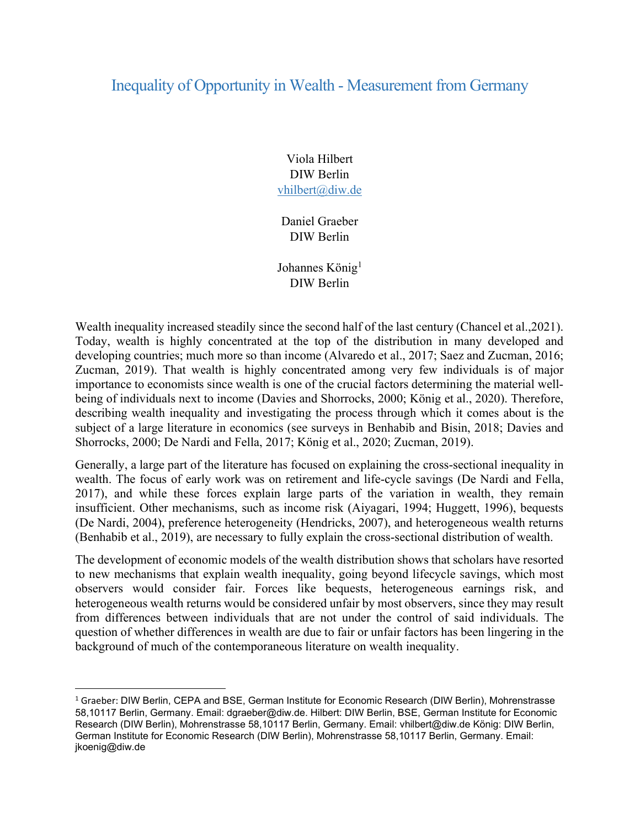## Inequality of Opportunity in Wealth - Measurement from Germany

Viola Hilbert DIW Berlin vhilbert@diw.de

Daniel Graeber DIW Berlin

Johannes König<sup>1</sup> DIW Berlin

Wealth inequality increased steadily since the second half of the last century (Chancel et al., 2021). Today, wealth is highly concentrated at the top of the distribution in many developed and developing countries; much more so than income (Alvaredo et al., 2017; Saez and Zucman, 2016; Zucman, 2019). That wealth is highly concentrated among very few individuals is of major importance to economists since wealth is one of the crucial factors determining the material wellbeing of individuals next to income (Davies and Shorrocks, 2000; König et al., 2020). Therefore, describing wealth inequality and investigating the process through which it comes about is the subject of a large literature in economics (see surveys in Benhabib and Bisin, 2018; Davies and Shorrocks, 2000; De Nardi and Fella, 2017; König et al., 2020; Zucman, 2019).

Generally, a large part of the literature has focused on explaining the cross-sectional inequality in wealth. The focus of early work was on retirement and life-cycle savings (De Nardi and Fella, 2017), and while these forces explain large parts of the variation in wealth, they remain insufficient. Other mechanisms, such as income risk (Aiyagari, 1994; Huggett, 1996), bequests (De Nardi, 2004), preference heterogeneity (Hendricks, 2007), and heterogeneous wealth returns (Benhabib et al., 2019), are necessary to fully explain the cross-sectional distribution of wealth.

The development of economic models of the wealth distribution shows that scholars have resorted to new mechanisms that explain wealth inequality, going beyond lifecycle savings, which most observers would consider fair. Forces like bequests, heterogeneous earnings risk, and heterogeneous wealth returns would be considered unfair by most observers, since they may result from differences between individuals that are not under the control of said individuals. The question of whether differences in wealth are due to fair or unfair factors has been lingering in the background of much of the contemporaneous literature on wealth inequality.

<sup>&</sup>lt;sup>1</sup> Graeber: DIW Berlin, CEPA and BSE, German Institute for Economic Research (DIW Berlin), Mohrenstrasse 58,10117 Berlin, Germany. Email: dgraeber@diw.de. Hilbert: DIW Berlin, BSE, German Institute for Economic Research (DIW Berlin), Mohrenstrasse 58,10117 Berlin, Germany. Email: vhilbert@diw.de König: DIW Berlin, German Institute for Economic Research (DIW Berlin), Mohrenstrasse 58,10117 Berlin, Germany. Email: jkoenig@diw.de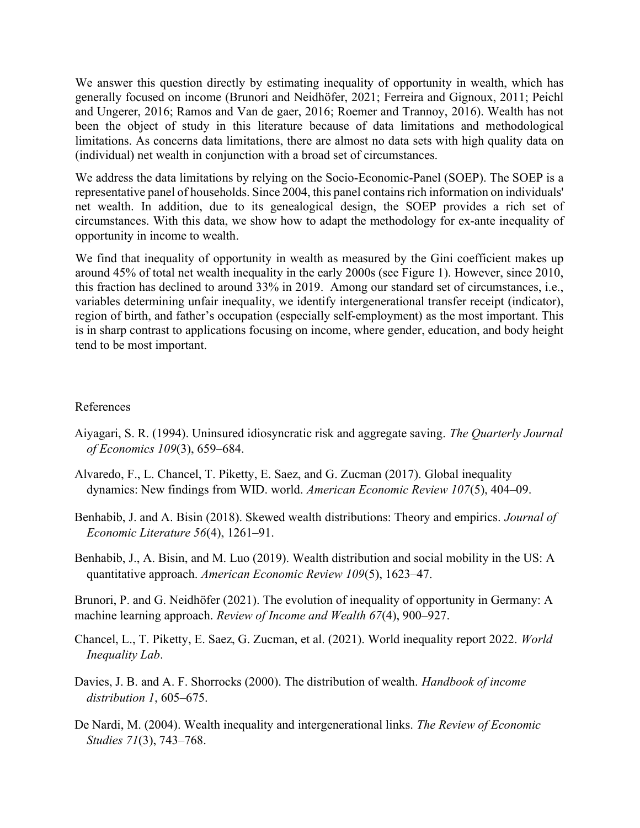We answer this question directly by estimating inequality of opportunity in wealth, which has generally focused on income (Brunori and Neidhöfer, 2021; Ferreira and Gignoux, 2011; Peichl and Ungerer, 2016; Ramos and Van de gaer, 2016; Roemer and Trannoy, 2016). Wealth has not been the object of study in this literature because of data limitations and methodological limitations. As concerns data limitations, there are almost no data sets with high quality data on (individual) net wealth in conjunction with a broad set of circumstances.

We address the data limitations by relying on the Socio-Economic-Panel (SOEP). The SOEP is a representative panel of households. Since 2004, this panel contains rich information on individuals' net wealth. In addition, due to its genealogical design, the SOEP provides a rich set of circumstances. With this data, we show how to adapt the methodology for ex-ante inequality of opportunity in income to wealth.

We find that inequality of opportunity in wealth as measured by the Gini coefficient makes up around 45% of total net wealth inequality in the early 2000s (see Figure 1). However, since 2010, this fraction has declined to around 33% in 2019. Among our standard set of circumstances, i.e., variables determining unfair inequality, we identify intergenerational transfer receipt (indicator), region of birth, and father's occupation (especially self-employment) as the most important. This is in sharp contrast to applications focusing on income, where gender, education, and body height tend to be most important.

## References

- Aiyagari, S. R. (1994). Uninsured idiosyncratic risk and aggregate saving. The Quarterly Journal of Economics 109(3), 659–684.
- Alvaredo, F., L. Chancel, T. Piketty, E. Saez, and G. Zucman (2017). Global inequality dynamics: New findings from WID. world. American Economic Review 107(5), 404–09.
- Benhabib, J. and A. Bisin (2018). Skewed wealth distributions: Theory and empirics. Journal of Economic Literature 56(4), 1261–91.
- Benhabib, J., A. Bisin, and M. Luo (2019). Wealth distribution and social mobility in the US: A quantitative approach. American Economic Review 109(5), 1623–47.

Brunori, P. and G. Neidhöfer (2021). The evolution of inequality of opportunity in Germany: A machine learning approach. Review of Income and Wealth 67(4), 900–927.

- Chancel, L., T. Piketty, E. Saez, G. Zucman, et al. (2021). World inequality report 2022. World Inequality Lab.
- Davies, J. B. and A. F. Shorrocks (2000). The distribution of wealth. Handbook of income distribution 1, 605–675.
- De Nardi, M. (2004). Wealth inequality and intergenerational links. The Review of Economic Studies 71(3), 743–768.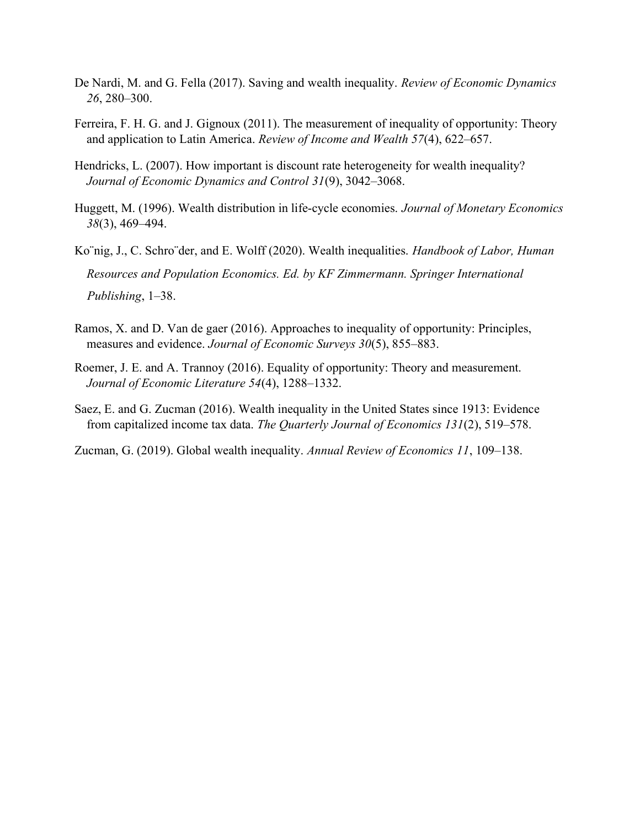- De Nardi, M. and G. Fella (2017). Saving and wealth inequality. Review of Economic Dynamics 26, 280–300.
- Ferreira, F. H. G. and J. Gignoux (2011). The measurement of inequality of opportunity: Theory and application to Latin America. Review of Income and Wealth 57(4), 622–657.
- Hendricks, L. (2007). How important is discount rate heterogeneity for wealth inequality? Journal of Economic Dynamics and Control 31(9), 3042–3068.
- Huggett, M. (1996). Wealth distribution in life-cycle economies. Journal of Monetary Economics 38(3), 469–494.
- Ko"nig, J., C. Schro"der, and E. Wolff (2020). Wealth inequalities. Handbook of Labor, Human Resources and Population Economics. Ed. by KF Zimmermann. Springer International Publishing, 1–38.
- Ramos, X. and D. Van de gaer (2016). Approaches to inequality of opportunity: Principles, measures and evidence. Journal of Economic Surveys 30(5), 855–883.
- Roemer, J. E. and A. Trannoy (2016). Equality of opportunity: Theory and measurement. Journal of Economic Literature 54(4), 1288–1332.
- Saez, E. and G. Zucman (2016). Wealth inequality in the United States since 1913: Evidence from capitalized income tax data. The Quarterly Journal of Economics 131(2), 519–578.
- Zucman, G. (2019). Global wealth inequality. Annual Review of Economics 11, 109–138.